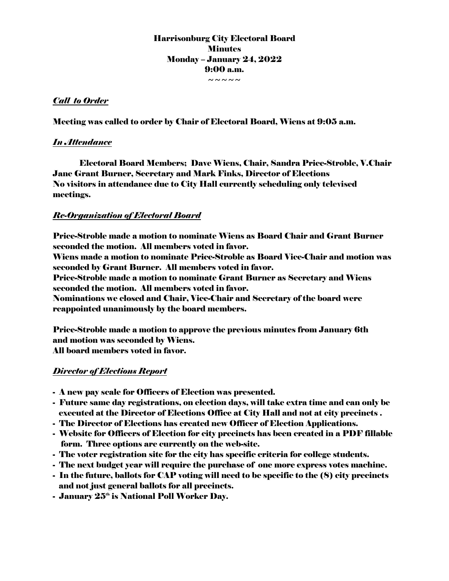Harrisonburg City Electoral Board **Minutes** Monday – January 24, 2022 9:00 a.m.  $\sim\sim\sim\sim\sim$ 

## *Call to Order*

Meeting was called to order by Chair of Electoral Board, Wiens at 9:05 a.m.

### *In Attendance*

Electoral Board Members; Dave Wiens, Chair, Sandra Price-Stroble, V.Chair Jane Grant Burner, Secretary and Mark Finks, Director of Elections No visitors in attendance due to City Hall currently scheduling only televised meetings.

## *Re-Organization of Electoral Board*

Price-Stroble made a motion to nominate Wiens as Board Chair and Grant Burner seconded the motion. All members voted in favor. Wiens made a motion to nominate Price-Stroble as Board Vice-Chair and motion was seconded by Grant Burner. All members voted in favor. Price-Stroble made a motion to nominate Grant Burner as Secretary and Wiens seconded the motion. All members voted in favor. Nominations we closed and Chair, Vice-Chair and Secretary of the board were reappointed unanimously by the board members.

Price-Stroble made a motion to approve the previous minutes from January 6th and motion was seconded by Wiens. All board members voted in favor.

### *Director of Elections Report*

- A new pay scale for Officers of Election was presented.
- Future same day registrations, on election days, will take extra time and can only be executed at the Director of Elections Office at City Hall and not at city precincts .
- The Director of Elections has created new Officer of Election Applications.
- Website for Officers of Election for city precincts has been created in a PDF fillable form. Three options are currently on the web-site.
- The voter registration site for the city has specific criteria for college students.
- The next budget year will require the purchase of one more express votes machine.
- In the future, ballots for CAP voting will need to be specific to the (8) city precincts and not just general ballots for all precincts.
- January  $25<sup>th</sup>$  is National Poll Worker Dav.